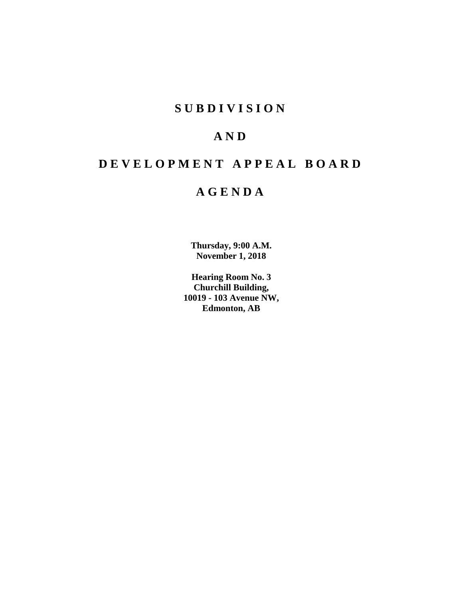## **S U B D I V I S I O N**

## **A N D**

# **D E V E L O P M E N T A P P E A L B O A R D**

## **A G E N D A**

**Thursday, 9:00 A.M. November 1, 2018**

**Hearing Room No. 3 Churchill Building, 10019 - 103 Avenue NW, Edmonton, AB**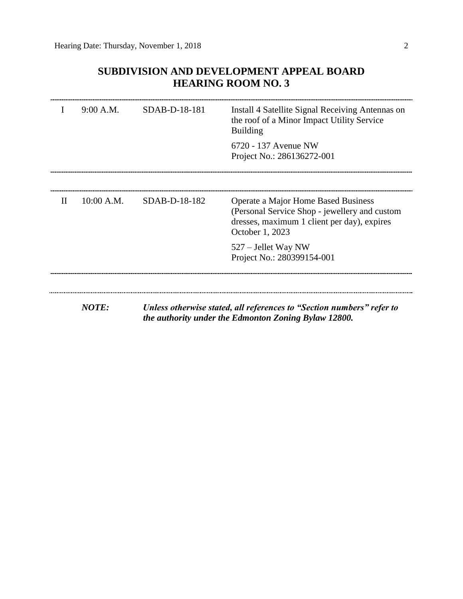## **SUBDIVISION AND DEVELOPMENT APPEAL BOARD HEARING ROOM NO. 3**

|              | 9:00 A.M.    | SDAB-D-18-181                                        | Install 4 Satellite Signal Receiving Antennas on<br>the roof of a Minor Impact Utility Service<br><b>Building</b>                                      |  |  |
|--------------|--------------|------------------------------------------------------|--------------------------------------------------------------------------------------------------------------------------------------------------------|--|--|
|              |              |                                                      | 6720 - 137 Avenue NW<br>Project No.: 286136272-001                                                                                                     |  |  |
| $\mathbf{H}$ | 10:00 A.M.   | $SDAB-D-18-182$                                      | Operate a Major Home Based Business<br>(Personal Service Shop - jewellery and custom<br>dresses, maximum 1 client per day), expires<br>October 1, 2023 |  |  |
|              |              |                                                      | 527 – Jellet Way NW<br>Project No.: 280399154-001                                                                                                      |  |  |
|              | <b>NOTE:</b> |                                                      | Unless otherwise stated, all references to "Section numbers" refer to                                                                                  |  |  |
|              |              | the authority under the Edmonton Zoning Bylaw 12800. |                                                                                                                                                        |  |  |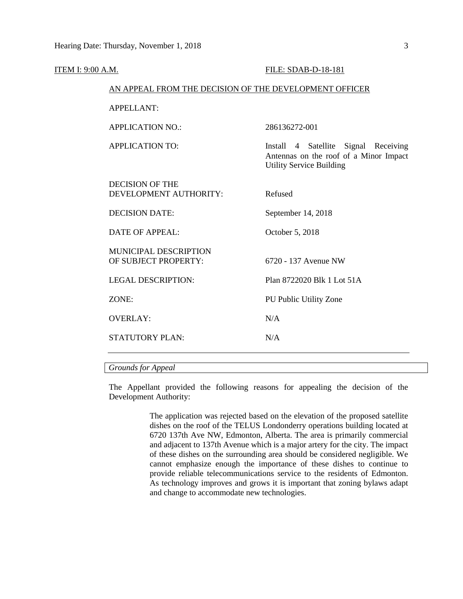| <b>ITEM I: 9:00 A.M.</b> |                                                        | FILE: SDAB-D-18-181                                                                                               |  |  |
|--------------------------|--------------------------------------------------------|-------------------------------------------------------------------------------------------------------------------|--|--|
|                          | AN APPEAL FROM THE DECISION OF THE DEVELOPMENT OFFICER |                                                                                                                   |  |  |
|                          | <b>APPELLANT:</b>                                      |                                                                                                                   |  |  |
|                          | <b>APPLICATION NO.:</b>                                | 286136272-001                                                                                                     |  |  |
|                          | <b>APPLICATION TO:</b>                                 | Install 4 Satellite Signal Receiving<br>Antennas on the roof of a Minor Impact<br><b>Utility Service Building</b> |  |  |
|                          | <b>DECISION OF THE</b><br>DEVELOPMENT AUTHORITY:       | Refused                                                                                                           |  |  |
|                          | <b>DECISION DATE:</b>                                  | September 14, 2018                                                                                                |  |  |
|                          | <b>DATE OF APPEAL:</b>                                 | October 5, 2018                                                                                                   |  |  |
|                          | MUNICIPAL DESCRIPTION<br>OF SUBJECT PROPERTY:          | 6720 - 137 Avenue NW                                                                                              |  |  |
|                          | <b>LEGAL DESCRIPTION:</b>                              | Plan 8722020 Blk 1 Lot 51A                                                                                        |  |  |
|                          | ZONE:                                                  | PU Public Utility Zone                                                                                            |  |  |
|                          | <b>OVERLAY:</b>                                        | N/A                                                                                                               |  |  |
|                          | <b>STATUTORY PLAN:</b>                                 | N/A                                                                                                               |  |  |
|                          |                                                        |                                                                                                                   |  |  |

## *Grounds for Appeal*

The Appellant provided the following reasons for appealing the decision of the Development Authority:

> The application was rejected based on the elevation of the proposed satellite dishes on the roof of the TELUS Londonderry operations building located at 6720 137th Ave NW, Edmonton, Alberta. The area is primarily commercial and adjacent to 137th Avenue which is a major artery for the city. The impact of these dishes on the surrounding area should be considered negligible. We cannot emphasize enough the importance of these dishes to continue to provide reliable telecommunications service to the residents of Edmonton. As technology improves and grows it is important that zoning bylaws adapt and change to accommodate new technologies.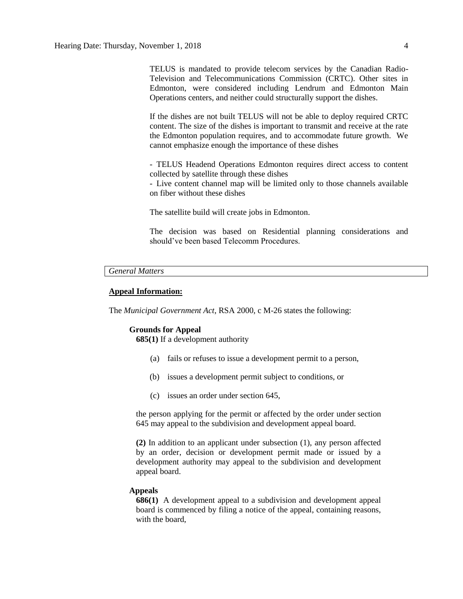TELUS is mandated to provide telecom services by the Canadian Radio-Television and Telecommunications Commission (CRTC). Other sites in Edmonton, were considered including Lendrum and Edmonton Main Operations centers, and neither could structurally support the dishes.

If the dishes are not built TELUS will not be able to deploy required CRTC content. The size of the dishes is important to transmit and receive at the rate the Edmonton population requires, and to accommodate future growth. We cannot emphasize enough the importance of these dishes

- TELUS Headend Operations Edmonton requires direct access to content collected by satellite through these dishes

- Live content channel map will be limited only to those channels available on fiber without these dishes

The satellite build will create jobs in Edmonton.

The decision was based on Residential planning considerations and should've been based Telecomm Procedures.

## *General Matters*

#### **Appeal Information:**

The *Municipal Government Act*, RSA 2000, c M-26 states the following:

#### **Grounds for Appeal**

**685(1)** If a development authority

- (a) fails or refuses to issue a development permit to a person,
- (b) issues a development permit subject to conditions, or
- (c) issues an order under section 645,

the person applying for the permit or affected by the order under section 645 may appeal to the subdivision and development appeal board.

**(2)** In addition to an applicant under subsection (1), any person affected by an order, decision or development permit made or issued by a development authority may appeal to the subdivision and development appeal board.

#### **Appeals**

**686(1)** A development appeal to a subdivision and development appeal board is commenced by filing a notice of the appeal, containing reasons, with the board,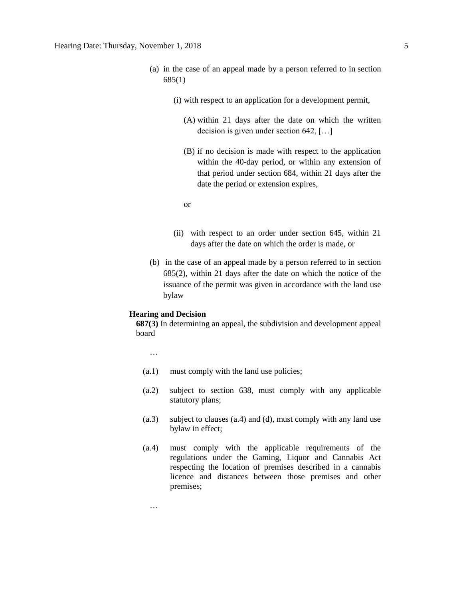- (a) in the case of an appeal made by a person referred to in section 685(1)
	- (i) with respect to an application for a development permit,
		- (A) within 21 days after the date on which the written decision is given under section 642, […]
		- (B) if no decision is made with respect to the application within the 40-day period, or within any extension of that period under section 684, within 21 days after the date the period or extension expires,
		- or
	- (ii) with respect to an order under section 645, within 21 days after the date on which the order is made, or
- (b) in the case of an appeal made by a person referred to in section 685(2), within 21 days after the date on which the notice of the issuance of the permit was given in accordance with the land use bylaw

#### **Hearing and Decision**

**687(3)** In determining an appeal, the subdivision and development appeal board

…

- (a.1) must comply with the land use policies;
- (a.2) subject to section 638, must comply with any applicable statutory plans;
- (a.3) subject to clauses (a.4) and (d), must comply with any land use bylaw in effect;
- (a.4) must comply with the applicable requirements of the regulations under the Gaming, Liquor and Cannabis Act respecting the location of premises described in a cannabis licence and distances between those premises and other premises;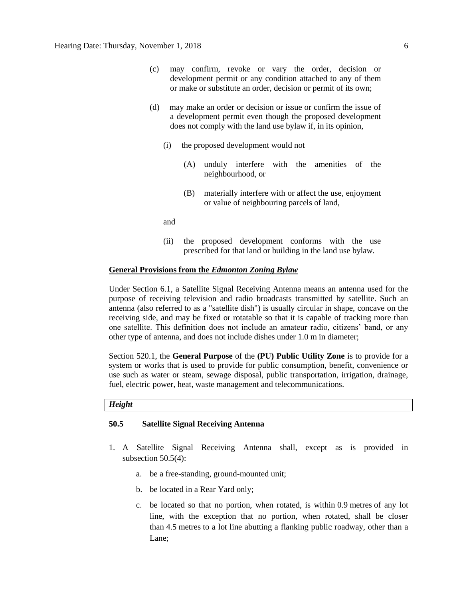- (c) may confirm, revoke or vary the order, decision or development permit or any condition attached to any of them or make or substitute an order, decision or permit of its own;
- (d) may make an order or decision or issue or confirm the issue of a development permit even though the proposed development does not comply with the land use bylaw if, in its opinion,
	- (i) the proposed development would not
		- (A) unduly interfere with the amenities of the neighbourhood, or
		- (B) materially interfere with or affect the use, enjoyment or value of neighbouring parcels of land,

and

(ii) the proposed development conforms with the use prescribed for that land or building in the land use bylaw.

### **General Provisions from the** *Edmonton Zoning Bylaw*

Under Section 6.1, a Satellite Signal Receiving Antenna means an antenna used for the purpose of receiving television and radio broadcasts transmitted by satellite. Such an antenna (also referred to as a "satellite dish") is usually circular in shape, concave on the receiving side, and may be fixed or rotatable so that it is capable of tracking more than one satellite. This definition does not include an amateur radio, citizens' band, or any other type of antenna, and does not include dishes under 1.0 m in diameter;

Section 520.1, the **General Purpose** of the **(PU) Public Utility Zone** is to provide for a system or works that is used to provide for public consumption, benefit, convenience or use such as water or steam, sewage disposal, public transportation, irrigation, drainage, fuel, electric power, heat, waste management and telecommunications.

#### *Height*

## **50.5 Satellite Signal Receiving Antenna**

- 1. A Satellite Signal Receiving Antenna shall, except as is provided in subsection 50.5(4):
	- a. be a free-standing, ground-mounted unit;
	- b. be located in a Rear Yard only;
	- c. be located so that no portion, when rotated, is within [0.9](javascript:void(0);) metres of any lot line, with the exception that no portion, when rotated, shall be closer than [4.5](javascript:void(0);) metres to a lot line abutting a flanking public roadway, other than a Lane;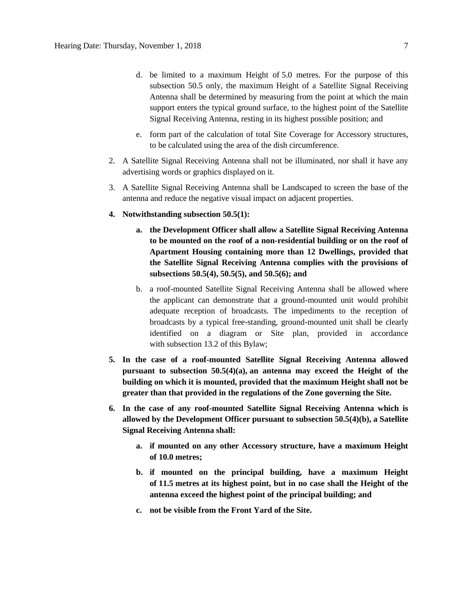- d. be limited to a maximum Height of [5.0 me](javascript:void(0);)tres. For the purpose of this subsection 50.5 only, the maximum Height of a Satellite Signal Receiving Antenna shall be determined by measuring from the point at which the main support enters the typical ground surface, to the highest point of the Satellite Signal Receiving Antenna, resting in its highest possible position; and
- e. form part of the calculation of total Site Coverage for Accessory structures, to be calculated using the area of the dish circumference.
- 2. A Satellite Signal Receiving Antenna shall not be illuminated, nor shall it have any advertising words or graphics displayed on it.
- 3. A Satellite Signal Receiving Antenna shall be Landscaped to screen the base of the antenna and reduce the negative visual impact on adjacent properties.
- **4. Notwithstanding subsection 50.5(1):**
	- **a. the Development Officer shall allow a Satellite Signal Receiving Antenna to be mounted on the roof of a non-residential building or on the roof of Apartment Housing containing more than 12 Dwellings, provided that the Satellite Signal Receiving Antenna complies with the provisions of subsections 50.5(4), 50.5(5), and 50.5(6); and**
	- b. a roof-mounted Satellite Signal Receiving Antenna shall be allowed where the applicant can demonstrate that a ground-mounted unit would prohibit adequate reception of broadcasts. The impediments to the reception of broadcasts by a typical free-standing, ground-mounted unit shall be clearly identified on a diagram or Site plan, provided in accordance with [subsection](https://webdocs.edmonton.ca/InfraPlan/zoningbylaw/ZoningBylaw/Part1/Administrative/13_2_Class_A_Permitted_Development_Excluding_Signs.htm) 13.2 of this Bylaw;
- **5. In the case of a roof-mounted Satellite Signal Receiving Antenna allowed pursuant to subsection 50.5(4)(a), an antenna may exceed the Height of the building on which it is mounted, provided that the maximum Height shall not be greater than that provided in the regulations of the Zone governing the Site.**
- **6. In the case of any roof-mounted Satellite Signal Receiving Antenna which is allowed by the Development Officer pursuant to subsection 50.5(4)(b), a Satellite Signal Receiving Antenna shall:**
	- **a. if mounted on any other Accessory structure, have a maximum Height of [10.0](javascript:void(0);) metres;**
	- **b. if mounted on the principal building, have a maximum Height of [11.5](javascript:void(0);) metres at its highest point, but in no case shall the Height of the antenna exceed the highest point of the principal building; and**
	- **c. not be visible from the Front Yard of the Site.**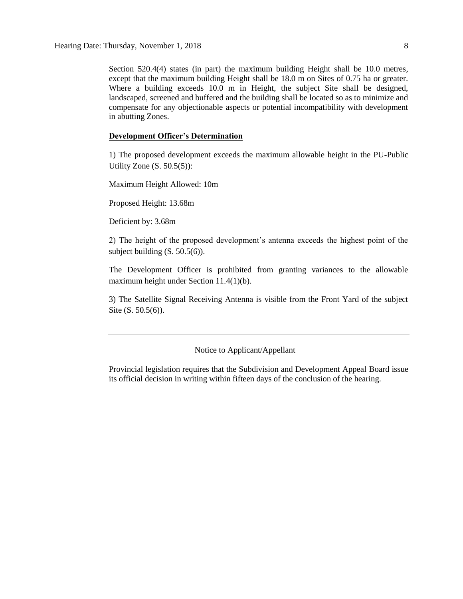Section 520.4(4) states (in part) the maximum building Height shall be 10.0 metres, except that the maximum building Height shall be 18.0 m on Sites of 0.75 ha or greater. Where a building exceeds 10.0 m in Height, the subject Site shall be designed, landscaped, screened and buffered and the building shall be located so as to minimize and compensate for any objectionable aspects or potential incompatibility with development in abutting Zones.

#### **Development Officer's Determination**

1) The proposed development exceeds the maximum allowable height in the PU-Public Utility Zone (S. 50.5(5)):

Maximum Height Allowed: 10m

Proposed Height: 13.68m

Deficient by: 3.68m

2) The height of the proposed development's antenna exceeds the highest point of the subject building (S. 50.5(6)).

The Development Officer is prohibited from granting variances to the allowable maximum height under Section 11.4(1)(b).

3) The Satellite Signal Receiving Antenna is visible from the Front Yard of the subject Site (S. 50.5(6)).

#### Notice to Applicant/Appellant

Provincial legislation requires that the Subdivision and Development Appeal Board issue its official decision in writing within fifteen days of the conclusion of the hearing.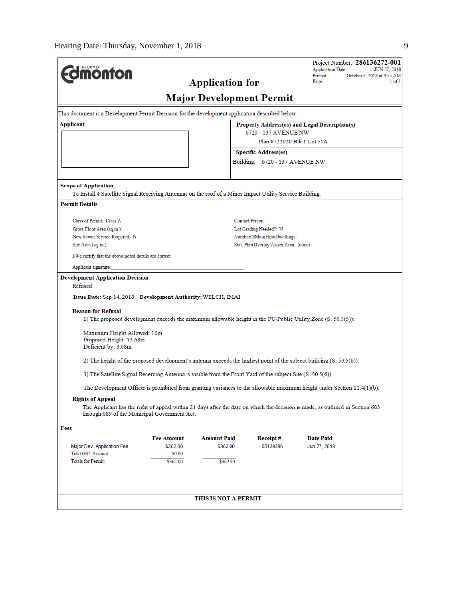$\overline{a}$ 

|                                                                                                            |                   |                        |                                                    | Project Number: 286136272-001<br><b>Application Date:</b><br>JUN 27, 2018                                                     |  |
|------------------------------------------------------------------------------------------------------------|-------------------|------------------------|----------------------------------------------------|-------------------------------------------------------------------------------------------------------------------------------|--|
| <b>Imonton</b>                                                                                             |                   | <b>Application for</b> |                                                    | Printed:<br>October 9, 2018 at 9:55 AM<br>1 of 1<br>Page:                                                                     |  |
|                                                                                                            |                   |                        |                                                    |                                                                                                                               |  |
|                                                                                                            |                   |                        | <b>Major Development Permit</b>                    |                                                                                                                               |  |
| This document is a Development Permit Decision for the development application described below.            |                   |                        |                                                    |                                                                                                                               |  |
| Applicant<br>Property Address(es) and Legal Description(s)                                                 |                   |                        |                                                    |                                                                                                                               |  |
|                                                                                                            |                   |                        | 6720 - 137 AVENUE NW<br>Plan 8722020 Blk 1 Lot 51A |                                                                                                                               |  |
|                                                                                                            |                   |                        | <b>Specific Address(es)</b>                        |                                                                                                                               |  |
|                                                                                                            |                   |                        | Building: 6720 - 137 AVENUE NW                     |                                                                                                                               |  |
|                                                                                                            |                   |                        |                                                    |                                                                                                                               |  |
| <b>Scope of Application</b>                                                                                |                   |                        |                                                    |                                                                                                                               |  |
| To Install 4 Satellite Signal Receiving Antennas on the roof of a Minor Impact Utility Service Building.   |                   |                        |                                                    |                                                                                                                               |  |
| <b>Permit Details</b>                                                                                      |                   |                        |                                                    |                                                                                                                               |  |
| Class of Permit: Class A                                                                                   |                   |                        | <b>Contact Person:</b>                             |                                                                                                                               |  |
| Gross Floor Area (sq.m.):                                                                                  |                   |                        | Lot Grading Needed?: N                             |                                                                                                                               |  |
| New Sewer Service Required: N                                                                              |                   |                        | NumberOfMainFloorDwellings:                        |                                                                                                                               |  |
| Site Area (sq. m.):                                                                                        |                   |                        | Stat. Plan Overlay/Annex Area: (none)              |                                                                                                                               |  |
| I/We certify that the above noted details are correct.                                                     |                   |                        |                                                    |                                                                                                                               |  |
| Applicant signature:                                                                                       |                   |                        |                                                    |                                                                                                                               |  |
| <b>Development Application Decision</b>                                                                    |                   |                        |                                                    |                                                                                                                               |  |
| Refused                                                                                                    |                   |                        |                                                    |                                                                                                                               |  |
| Issue Date: Sep 14, 2018 Development Authority: WELCH, IMAI                                                |                   |                        |                                                    |                                                                                                                               |  |
| <b>Reason for Refusal</b>                                                                                  |                   |                        |                                                    |                                                                                                                               |  |
|                                                                                                            |                   |                        |                                                    | 1) The proposed development exceeds the maximum allowable height in the PU-Public Utility Zone (S. 50.5(5)):                  |  |
| Maximum Height Allowed: 10m                                                                                |                   |                        |                                                    |                                                                                                                               |  |
| Proposed Height: 13.68m<br>Deficient by: 3.68m                                                             |                   |                        |                                                    |                                                                                                                               |  |
|                                                                                                            |                   |                        |                                                    |                                                                                                                               |  |
|                                                                                                            |                   |                        |                                                    | 2) The height of the proposed development's antenna exceeds the highest point of the subject building (S. 50.5(6)).           |  |
| 3) The Satellite Signal Receiving Antenna is visible from the Front Yard of the subject Site (S. 50.5(6)). |                   |                        |                                                    |                                                                                                                               |  |
|                                                                                                            |                   |                        |                                                    | The Development Officer is prohibited from granting variances to the allowable maximum height under Section $11.4(1)(b)$ .    |  |
| <b>Rights of Appeal</b>                                                                                    |                   |                        |                                                    |                                                                                                                               |  |
| through 689 of the Municipal Government Act.                                                               |                   |                        |                                                    | The Applicant has the right of appeal within 21 days after the date on which the decision is made, as outlined in Section 683 |  |
| Fees                                                                                                       |                   |                        |                                                    |                                                                                                                               |  |
|                                                                                                            | <b>Fee Amount</b> | <b>Amount Paid</b>     | Receipt#                                           | <b>Date Paid</b>                                                                                                              |  |
| Major Dev. Application Fee                                                                                 | \$362.00          | \$362.00               | 05139386                                           | Jun 27, 2018                                                                                                                  |  |
| <b>Total GST Amount:</b>                                                                                   | \$0.00            |                        |                                                    |                                                                                                                               |  |
| <b>Totals for Permit:</b>                                                                                  | \$362.00          | \$362.00               |                                                    |                                                                                                                               |  |
|                                                                                                            |                   |                        |                                                    |                                                                                                                               |  |
|                                                                                                            |                   | THIS IS NOT A PERMIT   |                                                    |                                                                                                                               |  |
|                                                                                                            |                   |                        |                                                    |                                                                                                                               |  |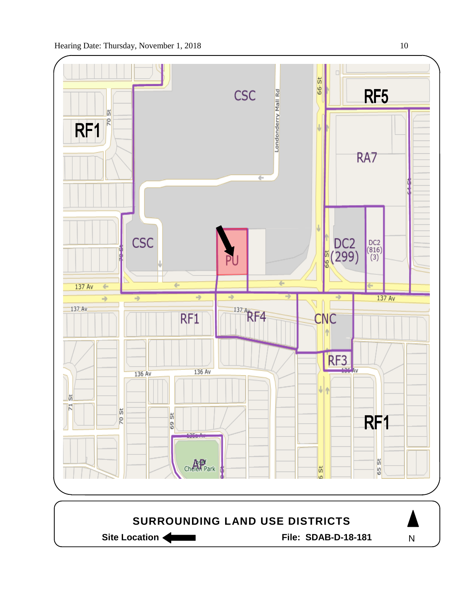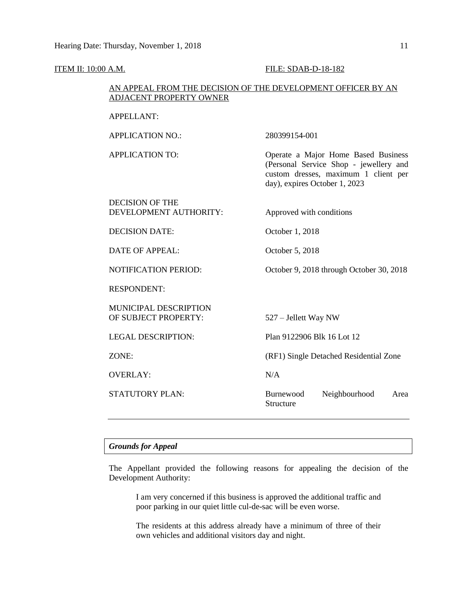| <b>ITEM II: 10:00 A.M.</b>                                                                     | FILE: SDAB-D-18-182                                                                                                                                    |  |  |  |
|------------------------------------------------------------------------------------------------|--------------------------------------------------------------------------------------------------------------------------------------------------------|--|--|--|
| AN APPEAL FROM THE DECISION OF THE DEVELOPMENT OFFICER BY AN<br><b>ADJACENT PROPERTY OWNER</b> |                                                                                                                                                        |  |  |  |
| <b>APPELLANT:</b>                                                                              |                                                                                                                                                        |  |  |  |
| <b>APPLICATION NO.:</b>                                                                        | 280399154-001                                                                                                                                          |  |  |  |
| <b>APPLICATION TO:</b>                                                                         | Operate a Major Home Based Business<br>(Personal Service Shop - jewellery and<br>custom dresses, maximum 1 client per<br>day), expires October 1, 2023 |  |  |  |
| <b>DECISION OF THE</b><br>DEVELOPMENT AUTHORITY:                                               | Approved with conditions                                                                                                                               |  |  |  |
| <b>DECISION DATE:</b>                                                                          | October 1, 2018                                                                                                                                        |  |  |  |
| <b>DATE OF APPEAL:</b>                                                                         | October 5, 2018                                                                                                                                        |  |  |  |
| <b>NOTIFICATION PERIOD:</b>                                                                    | October 9, 2018 through October 30, 2018                                                                                                               |  |  |  |
| <b>RESPONDENT:</b>                                                                             |                                                                                                                                                        |  |  |  |
| MUNICIPAL DESCRIPTION<br>OF SUBJECT PROPERTY:                                                  | 527 – Jellett Way NW                                                                                                                                   |  |  |  |
| <b>LEGAL DESCRIPTION:</b>                                                                      | Plan 9122906 Blk 16 Lot 12                                                                                                                             |  |  |  |
| ZONE:                                                                                          | (RF1) Single Detached Residential Zone                                                                                                                 |  |  |  |
| <b>OVERLAY:</b>                                                                                | N/A                                                                                                                                                    |  |  |  |
| STATUTORY PLAN:                                                                                | Burnewood<br>Neighbourhood<br>Area<br>Structure                                                                                                        |  |  |  |

## *Grounds for Appeal*

The Appellant provided the following reasons for appealing the decision of the Development Authority:

I am very concerned if this business is approved the additional traffic and poor parking in our quiet little cul-de-sac will be even worse.

The residents at this address already have a minimum of three of their own vehicles and additional visitors day and night.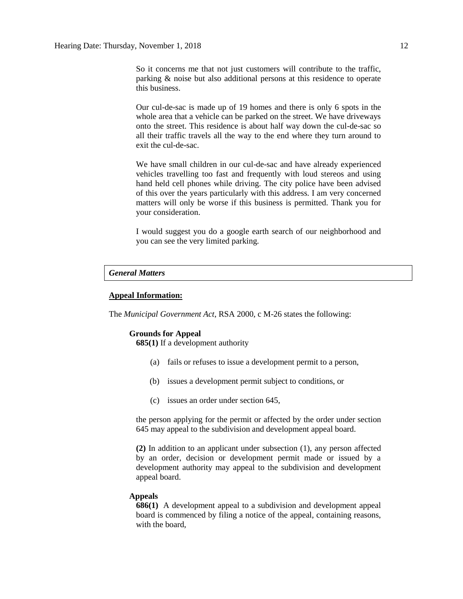So it concerns me that not just customers will contribute to the traffic, parking & noise but also additional persons at this residence to operate this business.

Our cul-de-sac is made up of 19 homes and there is only 6 spots in the whole area that a vehicle can be parked on the street. We have driveways onto the street. This residence is about half way down the cul-de-sac so all their traffic travels all the way to the end where they turn around to exit the cul-de-sac.

We have small children in our cul-de-sac and have already experienced vehicles travelling too fast and frequently with loud stereos and using hand held cell phones while driving. The city police have been advised of this over the years particularly with this address. I am very concerned matters will only be worse if this business is permitted. Thank you for your consideration.

I would suggest you do a google earth search of our neighborhood and you can see the very limited parking.

#### *General Matters*

### **Appeal Information:**

The *Municipal Government Act*, RSA 2000, c M-26 states the following:

#### **Grounds for Appeal**

**685(1)** If a development authority

- (a) fails or refuses to issue a development permit to a person,
- (b) issues a development permit subject to conditions, or
- (c) issues an order under section 645,

the person applying for the permit or affected by the order under section 645 may appeal to the subdivision and development appeal board.

**(2)** In addition to an applicant under subsection (1), any person affected by an order, decision or development permit made or issued by a development authority may appeal to the subdivision and development appeal board.

#### **Appeals**

**686(1)** A development appeal to a subdivision and development appeal board is commenced by filing a notice of the appeal, containing reasons, with the board,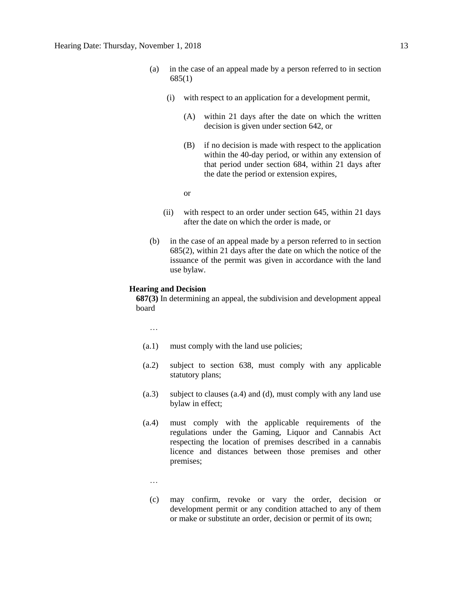- (a) in the case of an appeal made by a person referred to in section 685(1)
	- (i) with respect to an application for a development permit,
		- (A) within 21 days after the date on which the written decision is given under section 642, or
		- (B) if no decision is made with respect to the application within the 40-day period, or within any extension of that period under section 684, within 21 days after the date the period or extension expires,

or

- (ii) with respect to an order under section 645, within 21 days after the date on which the order is made, or
- (b) in the case of an appeal made by a person referred to in section 685(2), within 21 days after the date on which the notice of the issuance of the permit was given in accordance with the land use bylaw.

#### **Hearing and Decision**

**687(3)** In determining an appeal, the subdivision and development appeal board

…

- (a.1) must comply with the land use policies;
- (a.2) subject to section 638, must comply with any applicable statutory plans;
- (a.3) subject to clauses (a.4) and (d), must comply with any land use bylaw in effect;
- (a.4) must comply with the applicable requirements of the regulations under the Gaming, Liquor and Cannabis Act respecting the location of premises described in a cannabis licence and distances between those premises and other premises;
	- …
	- (c) may confirm, revoke or vary the order, decision or development permit or any condition attached to any of them or make or substitute an order, decision or permit of its own;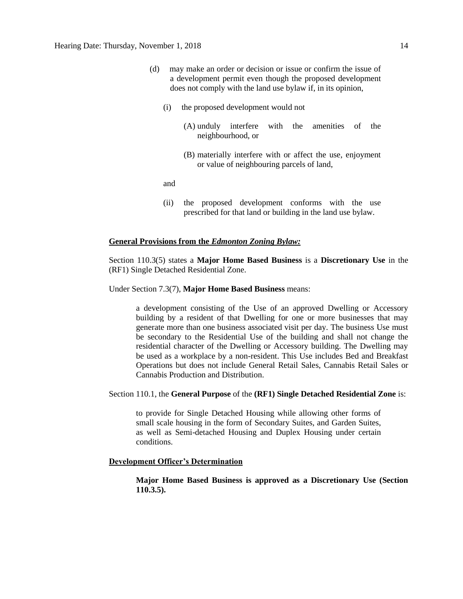- (d) may make an order or decision or issue or confirm the issue of a development permit even though the proposed development does not comply with the land use bylaw if, in its opinion,
	- (i) the proposed development would not
		- (A) unduly interfere with the amenities of the neighbourhood, or
		- (B) materially interfere with or affect the use, enjoyment or value of neighbouring parcels of land,

and

(ii) the proposed development conforms with the use prescribed for that land or building in the land use bylaw.

### **General Provisions from the** *Edmonton Zoning Bylaw:*

Section 110.3(5) states a **Major Home Based Business** is a **Discretionary Use** in the (RF1) Single Detached Residential Zone.

#### Under Section 7.3(7), **Major Home Based Business** means:

a development consisting of the Use of an approved Dwelling or Accessory building by a resident of that Dwelling for one or more businesses that may generate more than one business associated visit per day. The business Use must be secondary to the Residential Use of the building and shall not change the residential character of the Dwelling or Accessory building. The Dwelling may be used as a workplace by a non-resident. This Use includes Bed and Breakfast Operations but does not include General Retail Sales, Cannabis Retail Sales or Cannabis Production and Distribution.

#### Section 110.1, the **General Purpose** of the **(RF1) Single Detached Residential Zone** is:

to provide for Single Detached Housing while allowing other forms of small scale housing in the form of Secondary Suites, and Garden Suites, as well as Semi-detached Housing and Duplex Housing under certain conditions.

### **Development Officer's Determination**

**Major Home Based Business is approved as a Discretionary Use (Section 110.3.5).**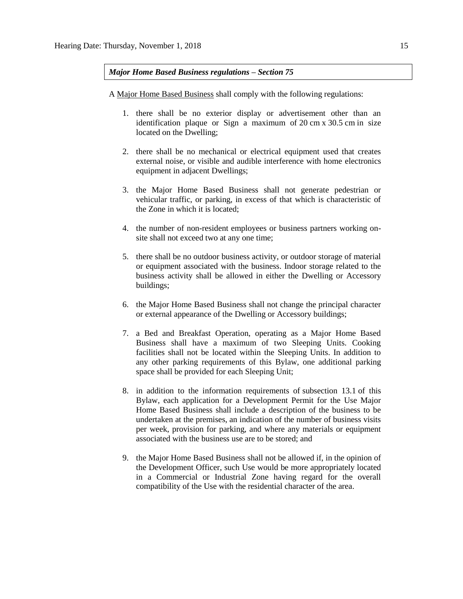*Major Home Based Business regulations – Section 75*

A [Major Home Based Business](javascript:void(0);) shall comply with the following regulations:

- 1. there shall be no exterior display or advertisement other than an identification plaque or Sign a maximum of 20 [cm](javascript:void(0);) x [30.5](javascript:void(0);) cm in size located on the Dwelling;
- 2. there shall be no mechanical or electrical equipment used that creates external noise, or visible and audible interference with home electronics equipment in adjacent Dwellings;
- 3. the Major Home Based Business shall not generate pedestrian or vehicular traffic, or parking, in excess of that which is characteristic of the Zone in which it is located;
- 4. the number of non-resident employees or business partners working onsite shall not exceed two at any one time;
- 5. there shall be no outdoor business activity, or outdoor storage of material or equipment associated with the business. Indoor storage related to the business activity shall be allowed in either the Dwelling or Accessory buildings;
- 6. the Major Home Based Business shall not change the principal character or external appearance of the [Dwelling](javascript:void(0);) or [Accessory](javascript:void(0);) buildings;
- 7. a Bed and Breakfast Operation, operating as a Major Home Based Business shall have a maximum of two Sleeping Units. Cooking facilities shall not be located within the Sleeping Units. In addition to any other parking requirements of this Bylaw, one additional parking space shall be provided for each Sleeping Unit;
- 8. in addition to the information requirements of [subsection 13.1](https://webdocs.edmonton.ca/InfraPlan/zoningbylaw/ZoningBylaw/Part1/Administrative/13__Development_Permit_Application.htm) of this Bylaw, each application for a Development Permit for the Use Major Home Based Business shall include a description of the business to be undertaken at the premises, an indication of the number of business visits per week, provision for parking, and where any materials or equipment associated with the business use are to be stored; and
- 9. the [Major Home Based Business](javascript:void(0);) shall not be allowed if, in the opinion of the Development Officer, such Use would be more appropriately located in a Commercial or Industrial Zone having regard for the overall compatibility of the Use with the residential character of the area.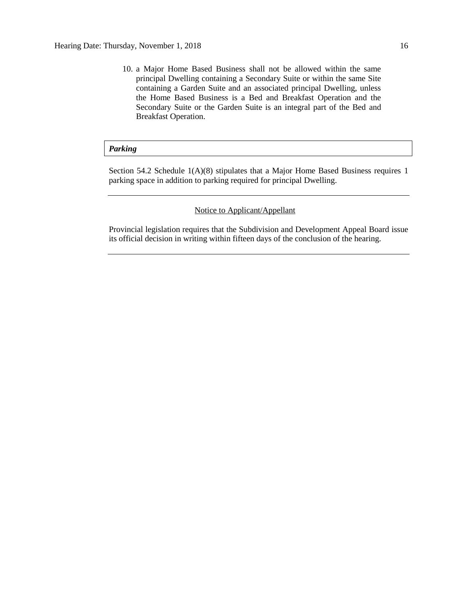10. a Major Home Based Business shall not be allowed within the same principal Dwelling containing a Secondary Suite or within the same Site containing a Garden Suite and an associated principal Dwelling, unless the Home Based Business is a Bed and Breakfast Operation and the Secondary Suite or the Garden Suite is an integral part of the Bed and Breakfast Operation.

### *Parking*

Section 54.2 Schedule 1(A)(8) stipulates that a Major Home Based Business requires 1 parking space in addition to parking required for principal Dwelling.

## Notice to Applicant/Appellant

Provincial legislation requires that the Subdivision and Development Appeal Board issue its official decision in writing within fifteen days of the conclusion of the hearing.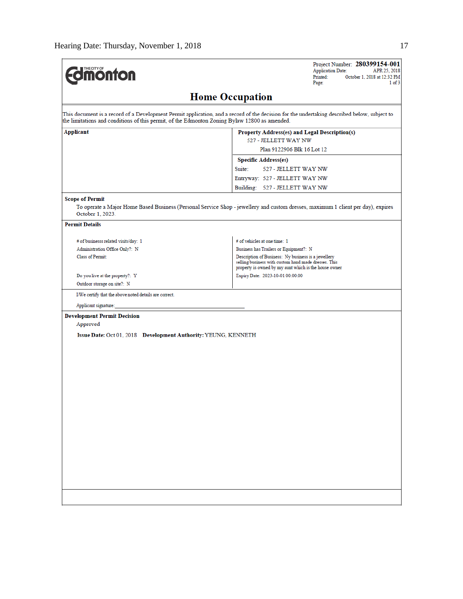| <b>monton</b>                                                                                 | Project Number: 280399154-001<br><b>Application Date:</b><br>APR 25, 2018<br>Printed:<br>October 1, 2018 at 12:32 PM<br>1 of 3<br>Page:                              |
|-----------------------------------------------------------------------------------------------|----------------------------------------------------------------------------------------------------------------------------------------------------------------------|
|                                                                                               | <b>Home Occupation</b>                                                                                                                                               |
| the limitations and conditions of this permit, of the Edmonton Zoning Bylaw 12800 as amended. | This document is a record of a Development Permit application, and a record of the decision for the undertaking described below, subject to                          |
| Applicant                                                                                     | Property Address(es) and Legal Description(s)<br>527 - JELLETT WAY NW<br>Plan 9122906 Blk 16 Lot 12                                                                  |
|                                                                                               | <b>Specific Address(es)</b>                                                                                                                                          |
|                                                                                               | 527 - JELLETT WAY NW<br>Suite:                                                                                                                                       |
|                                                                                               | Entryway: 527 - JELLETT WAY NW                                                                                                                                       |
|                                                                                               | Building: 527 - JELLETT WAY NW                                                                                                                                       |
| <b>Scope of Permit</b>                                                                        |                                                                                                                                                                      |
| October 1, 2023.                                                                              | To operate a Major Home Based Business (Personal Service Shop - jewellery and custom dresses, maximum 1 client per day), expires                                     |
| <b>Permit Details</b>                                                                         |                                                                                                                                                                      |
| # of businesss related visits/day: 1                                                          | # of vehicles at one time: 1                                                                                                                                         |
| Administration Office Only?: N                                                                | Business has Trailers or Equipment?: N                                                                                                                               |
| Class of Permit:                                                                              | Description of Business: Ny business is a jewellery<br>selling business with custom hand made dresses. This<br>property is owned by my aunt which is the house owner |
| Do you live at the property?: Y                                                               | Expiry Date: 2023-10-01 00:00:00                                                                                                                                     |
| Outdoor storage on site?: N                                                                   |                                                                                                                                                                      |
| I/We certify that the above noted details are correct.                                        |                                                                                                                                                                      |
| Applicant signature:                                                                          |                                                                                                                                                                      |
| <b>Development Permit Decision</b>                                                            |                                                                                                                                                                      |
| Approved                                                                                      |                                                                                                                                                                      |
| Issue Date: Oct 01, 2018 Development Authority: YEUNG, KENNETH                                |                                                                                                                                                                      |
|                                                                                               |                                                                                                                                                                      |
|                                                                                               |                                                                                                                                                                      |
|                                                                                               |                                                                                                                                                                      |
|                                                                                               |                                                                                                                                                                      |
|                                                                                               |                                                                                                                                                                      |
|                                                                                               |                                                                                                                                                                      |
|                                                                                               |                                                                                                                                                                      |
|                                                                                               |                                                                                                                                                                      |
|                                                                                               |                                                                                                                                                                      |
|                                                                                               |                                                                                                                                                                      |
|                                                                                               |                                                                                                                                                                      |
|                                                                                               |                                                                                                                                                                      |
|                                                                                               |                                                                                                                                                                      |
|                                                                                               |                                                                                                                                                                      |
|                                                                                               |                                                                                                                                                                      |
|                                                                                               |                                                                                                                                                                      |
|                                                                                               |                                                                                                                                                                      |
|                                                                                               |                                                                                                                                                                      |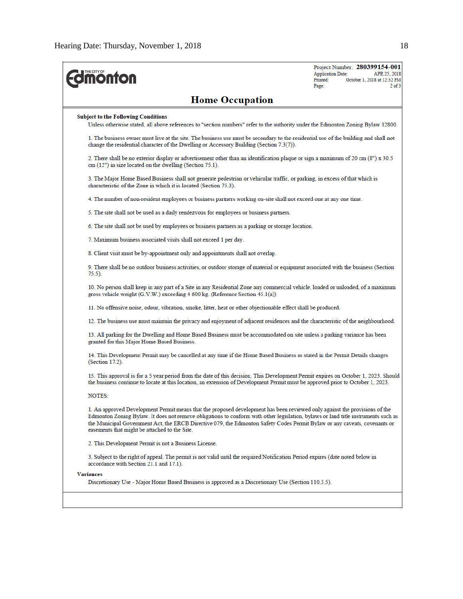| <b>Imonton</b>                                                                                                                                                                                                                                                                                                                                                                                                                                | Project Number: 280399154-001<br>APR 25, 2018<br><b>Application Date:</b><br>Printed:<br>October 1, 2018 at 12:32 PM<br>$2$ of $3$<br>Page: |
|-----------------------------------------------------------------------------------------------------------------------------------------------------------------------------------------------------------------------------------------------------------------------------------------------------------------------------------------------------------------------------------------------------------------------------------------------|---------------------------------------------------------------------------------------------------------------------------------------------|
| <b>Home Occupation</b>                                                                                                                                                                                                                                                                                                                                                                                                                        |                                                                                                                                             |
| <b>Subject to the Following Conditions</b>                                                                                                                                                                                                                                                                                                                                                                                                    |                                                                                                                                             |
| Unless otherwise stated, all above references to "section numbers" refer to the authority under the Edmonton Zoning Bylaw 12800.                                                                                                                                                                                                                                                                                                              |                                                                                                                                             |
| 1. The business owner must live at the site. The business use must be secondary to the residential use of the building and shall not<br>change the residential character of the Dwelling or Accessory Building (Section 7.3(7)).                                                                                                                                                                                                              |                                                                                                                                             |
| 2. There shall be no exterior display or advertisement other than an identification plaque or sign a maximum of 20 cm (8") x 30.5<br>$cm(12")$ in size located on the dwelling (Section 75.1).                                                                                                                                                                                                                                                |                                                                                                                                             |
| 3. The Major Home Based Business shall not generate pedestrian or vehicular traffic, or parking, in excess of that which is<br>characteristic of the Zone in which it is located (Section 75.3).                                                                                                                                                                                                                                              |                                                                                                                                             |
| 4. The number of non-resident employees or business partners working on-site shall not exceed one at any one time.                                                                                                                                                                                                                                                                                                                            |                                                                                                                                             |
| 5. The site shall not be used as a daily rendezvous for employees or business partners.                                                                                                                                                                                                                                                                                                                                                       |                                                                                                                                             |
| 6. The site shall not be used by employees or business partners as a parking or storage location.                                                                                                                                                                                                                                                                                                                                             |                                                                                                                                             |
| 7. Maximum business associated visits shall not exceed 1 per day.                                                                                                                                                                                                                                                                                                                                                                             |                                                                                                                                             |
| 8. Client visit must be by-appointment only and appointments shall not overlap.                                                                                                                                                                                                                                                                                                                                                               |                                                                                                                                             |
| 9. There shall be no outdoor business activities, or outdoor storage of material or equipment associated with the business (Section<br>75.5).                                                                                                                                                                                                                                                                                                 |                                                                                                                                             |
| 10. No person shall keep in any part of a Site in any Residential Zone any commercial vehicle, loaded or unloaded, of a maximum<br>gross vehicle weight $(G.V.W.)$ exceeding 4 600 kg. (Reference Section 45.1(a))                                                                                                                                                                                                                            |                                                                                                                                             |
| 11. No offensive noise, odour, vibration, smoke, litter, heat or other objectionable effect shall be produced.                                                                                                                                                                                                                                                                                                                                |                                                                                                                                             |
| 12. The business use must maintain the privacy and enjoyment of adjacent residences and the characteristic of the neighbourhood.                                                                                                                                                                                                                                                                                                              |                                                                                                                                             |
| 13. All parking for the Dwelling and Home Based Business must be accommodated on site unless a parking variance has been<br>granted for this Major Home Based Business.                                                                                                                                                                                                                                                                       |                                                                                                                                             |
| 14. This Development Permit may be cancelled at any time if the Home Based Business as stated in the Permit Details changes<br>(Section 17.2).                                                                                                                                                                                                                                                                                                |                                                                                                                                             |
| 15. This approval is for a 5 year period from the date of this decision. This Development Permit expires on October 1, 2023. Should<br>the business continue to locate at this location, an extension of Development Permit must be approved prior to October 1, 2023.                                                                                                                                                                        |                                                                                                                                             |
| <b>NOTES:</b>                                                                                                                                                                                                                                                                                                                                                                                                                                 |                                                                                                                                             |
| 1. An approved Development Permit means that the proposed development has been reviewed only against the provisions of the<br>Edmonton Zoning Bylaw. It does not remove obligations to conform with other legislation, bylaws or land title instruments such as<br>the Municipal Government Act, the ERCB Directive 079, the Edmonton Safety Codes Permit Bylaw or any caveats, covenants or<br>easements that might be attached to the Site. |                                                                                                                                             |
| 2. This Development Permit is not a Business License.                                                                                                                                                                                                                                                                                                                                                                                         |                                                                                                                                             |
| 3. Subject to the right of appeal. The permit is not valid until the required Notification Period expires (date noted below in<br>accordance with Section 21.1 and 17.1).                                                                                                                                                                                                                                                                     |                                                                                                                                             |
| <b>Variances</b>                                                                                                                                                                                                                                                                                                                                                                                                                              |                                                                                                                                             |
| Discretionary Use - Major Home Based Business is approved as a Discretionary Use (Section 110.3.5).                                                                                                                                                                                                                                                                                                                                           |                                                                                                                                             |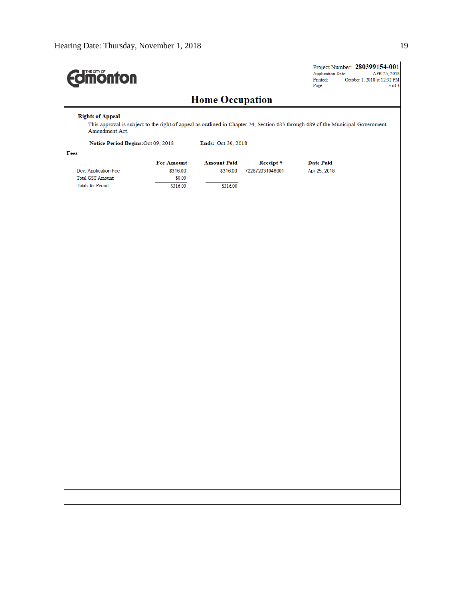| <b>dimonton</b>                           |                                                                                                                                |                    |                 | Application Date:<br>Printed:<br>Page: | Project Number: 280399154-001<br>APR 25, 2018<br>October 1, 2018 at 12:32 PM<br>$3$ of $3$ |  |  |
|-------------------------------------------|--------------------------------------------------------------------------------------------------------------------------------|--------------------|-----------------|----------------------------------------|--------------------------------------------------------------------------------------------|--|--|
|                                           | <b>Home Occupation</b>                                                                                                         |                    |                 |                                        |                                                                                            |  |  |
| <b>Rights of Appeal</b><br>Amendment Act. | This approval is subject to the right of appeal as outlined in Chapter 24, Section 683 through 689 of the Municipal Government |                    |                 |                                        |                                                                                            |  |  |
|                                           | Notice Period Begins: Oct 09, 2018<br>Ends: Oct 30, 2018                                                                       |                    |                 |                                        |                                                                                            |  |  |
| Fees                                      |                                                                                                                                |                    |                 |                                        |                                                                                            |  |  |
|                                           | <b>Fee Amount</b>                                                                                                              | <b>Amount Paid</b> | Receipt#        | <b>Date Paid</b>                       |                                                                                            |  |  |
| Dev. Application Fee                      | \$316.00                                                                                                                       | \$316.00           | 722872031048001 | Apr 25, 2018                           |                                                                                            |  |  |
| <b>Total GST Amount:</b>                  | \$0.00                                                                                                                         |                    |                 |                                        |                                                                                            |  |  |
| <b>Totals for Permit:</b>                 | \$316.00                                                                                                                       | \$316.00           |                 |                                        |                                                                                            |  |  |
|                                           |                                                                                                                                |                    |                 |                                        |                                                                                            |  |  |
|                                           |                                                                                                                                |                    |                 |                                        |                                                                                            |  |  |
|                                           |                                                                                                                                |                    |                 |                                        |                                                                                            |  |  |
|                                           |                                                                                                                                |                    |                 |                                        |                                                                                            |  |  |
|                                           |                                                                                                                                |                    |                 |                                        |                                                                                            |  |  |
|                                           |                                                                                                                                |                    |                 |                                        |                                                                                            |  |  |
|                                           |                                                                                                                                |                    |                 |                                        |                                                                                            |  |  |
|                                           |                                                                                                                                |                    |                 |                                        |                                                                                            |  |  |
|                                           |                                                                                                                                |                    |                 |                                        |                                                                                            |  |  |
|                                           |                                                                                                                                |                    |                 |                                        |                                                                                            |  |  |
|                                           |                                                                                                                                |                    |                 |                                        |                                                                                            |  |  |
|                                           |                                                                                                                                |                    |                 |                                        |                                                                                            |  |  |
|                                           |                                                                                                                                |                    |                 |                                        |                                                                                            |  |  |
|                                           |                                                                                                                                |                    |                 |                                        |                                                                                            |  |  |
|                                           |                                                                                                                                |                    |                 |                                        |                                                                                            |  |  |
|                                           |                                                                                                                                |                    |                 |                                        |                                                                                            |  |  |
|                                           |                                                                                                                                |                    |                 |                                        |                                                                                            |  |  |
|                                           |                                                                                                                                |                    |                 |                                        |                                                                                            |  |  |
|                                           |                                                                                                                                |                    |                 |                                        |                                                                                            |  |  |
|                                           |                                                                                                                                |                    |                 |                                        |                                                                                            |  |  |
|                                           |                                                                                                                                |                    |                 |                                        |                                                                                            |  |  |
|                                           |                                                                                                                                |                    |                 |                                        |                                                                                            |  |  |